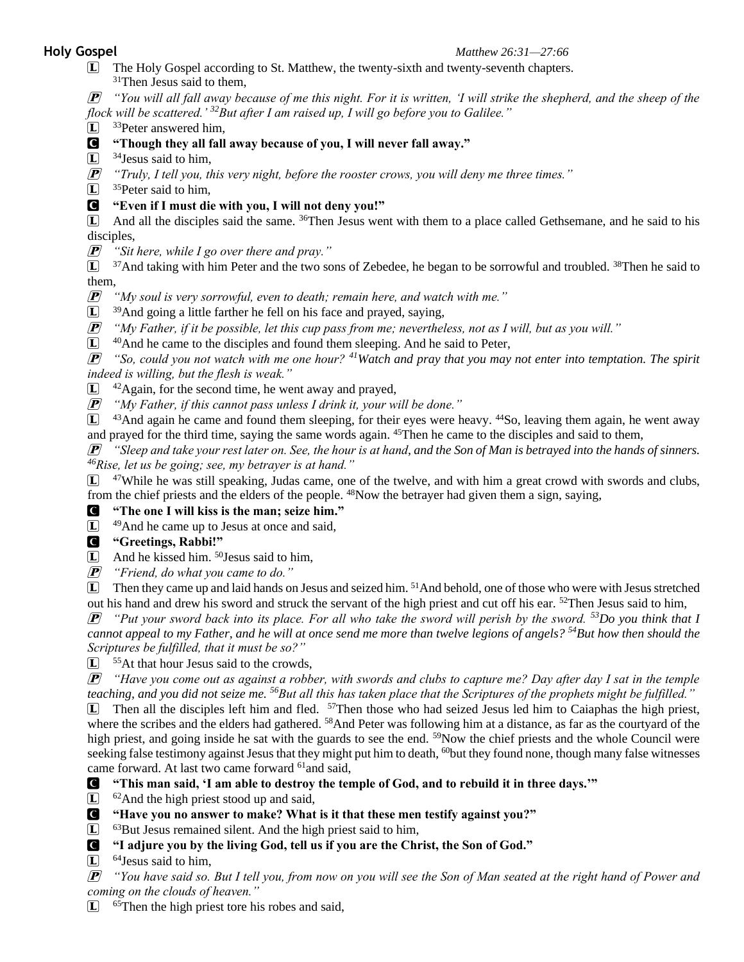## **Holy Gospel** *Matthew 26:31—27:66*

L The Holy Gospel according to St. Matthew, the twenty-sixth and twenty-seventh chapters. <sup>31</sup>Then Jesus said to them,

P *"You will all fall away because of me this night. For it is written, 'I will strike the shepherd, and the sheep of the flock will be scattered.' <sup>32</sup>But after I am raised up, I will go before you to Galilee."* 

- $\left| \mathbf{L} \right|$  <sup>33</sup>Peter answered him,
- C **"Though they all fall away because of you, I will never fall away."**
- $\boxed{\mathbf{L}}$  <sup>34</sup>Jesus said to him,
- P *"Truly, I tell you, this very night, before the rooster crows, you will deny me three times."*
- $\boxed{\mathbf{L}}$  <sup>35</sup>Peter said to him.

## C **"Even if I must die with you, I will not deny you!"**

 $\Box$  And all the disciples said the same. <sup>36</sup>Then Jesus went with them to a place called Gethsemane, and he said to his disciples,

P *"Sit here, while I go over there and pray."* 

L <sup>37</sup>And taking with him Peter and the two sons of Zebedee, he began to be sorrowful and troubled. <sup>38</sup>Then he said to them,

P *"My soul is very sorrowful, even to death; remain here, and watch with me."* 

 $\Box$  <sup>39</sup>And going a little farther he fell on his face and prayed, saying,

P *"My Father, if it be possible, let this cup pass from me; nevertheless, not as I will, but as you will."* 

 $\boxed{\mathbf{L}}$  40And he came to the disciples and found them sleeping. And he said to Peter,

P *"So, could you not watch with me one hour? <sup>41</sup>Watch and pray that you may not enter into temptation. The spirit indeed is willing, but the flesh is weak."* 

 $\boxed{\mathbf{L}}$   $42$ Again, for the second time, he went away and prayed,

P *"My Father, if this cannot pass unless I drink it, your will be done."* 

 $\Box$  <sup>43</sup>And again he came and found them sleeping, for their eyes were heavy. <sup>44</sup>So, leaving them again, he went away and prayed for the third time, saying the same words again. <sup>45</sup>Then he came to the disciples and said to them,

P *"Sleep and take your rest later on. See, the hour is at hand, and the Son of Man is betrayed into the hands of sinners. <sup>46</sup>Rise, let us be going; see, my betrayer is at hand."*

 $\Box$  <sup>47</sup>While he was still speaking, Judas came, one of the twelve, and with him a great crowd with swords and clubs, from the chief priests and the elders of the people. <sup>48</sup>Now the betrayer had given them a sign, saying,

## C **"The one I will kiss is the man; seize him."**

 $\boxed{\mathbf{L}}$   $^{49}$ And he came up to Jesus at once and said,

## C **"Greetings, Rabbi!"**

 $\Box$  And he kissed him. <sup>50</sup>Jesus said to him,

P *"Friend, do what you came to do."* 

L Then they came up and laid hands on Jesus and seized him. <sup>51</sup>And behold, one of those who were with Jesus stretched out his hand and drew his sword and struck the servant of the high priest and cut off his ear. <sup>52</sup>Then Jesus said to him,

P *"Put your sword back into its place. For all who take the sword will perish by the sword. <sup>53</sup>Do you think that I cannot appeal to my Father, and he will at once send me more than twelve legions of angels?* <sup>54</sup>*But how then should the Scriptures be fulfilled, that it must be so?"* 

 $\Box$  <sup>55</sup>At that hour Jesus said to the crowds,

P *"Have you come out as against a robber, with swords and clubs to capture me? Day after day I sat in the temple teaching, and you did not seize me. <sup>56</sup>But all this has taken place that the Scriptures of the prophets might be fulfilled."* 

 $\Box$  Then all the disciples left him and fled.  $57$ Then those who had seized Jesus led him to Caiaphas the high priest, where the scribes and the elders had gathered. <sup>58</sup>And Peter was following him at a distance, as far as the courtyard of the high priest, and going inside he sat with the guards to see the end. <sup>59</sup>Now the chief priests and the whole Council were seeking false testimony against Jesus that they might put him to death, <sup>60</sup>but they found none, though many false witnesses came forward. At last two came forward <sup>61</sup>and said,

C **"This man said, 'I am able to destroy the temple of God, and to rebuild it in three days.'"** 

 $\boxed{\mathbf{L}}$  <sup>62</sup> And the high priest stood up and said,

## C **"Have you no answer to make? What is it that these men testify against you?"**

L <sup>63</sup>But Jesus remained silent. And the high priest said to him,

## C **"I adjure you by the living God, tell us if you are the Christ, the Son of God."**

 $\Box$  <sup>64</sup> Jesus said to him,

P *"You have said so. But I tell you, from now on you will see the Son of Man seated at the right hand of Power and coming on the clouds of heaven."* 

L <sup>65</sup>Then the high priest tore his robes and said,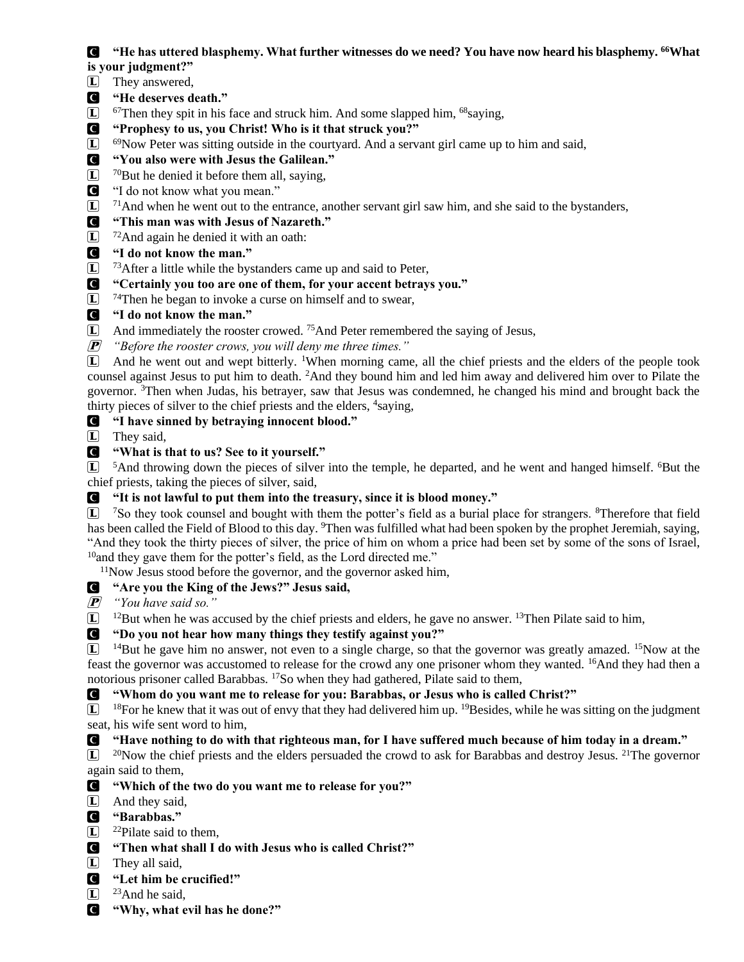## C **"He has uttered blasphemy. What further witnesses do we need? You have now heard his blasphemy. <sup>66</sup>What is your judgment?"**

- L They answered,
- C **"He deserves death."**
- $\Box$  67Then they spit in his face and struck him. And some slapped him, 68saying,
- C **"Prophesy to us, you Christ! Who is it that struck you?"**
- $\boxed{\mathbf{L}}$  69Now Peter was sitting outside in the courtyard. And a servant girl came up to him and said,
- C **"You also were with Jesus the Galilean."**
- $\left| \mathbf{L} \right|$  <sup>70</sup>But he denied it before them all, saying,
- C "I do not know what you mean."
- $\Box$  <sup>71</sup>And when he went out to the entrance, another servant girl saw him, and she said to the bystanders,

# C **"This man was with Jesus of Nazareth."**

- $\boxed{\mathbf{L}}$  72 And again he denied it with an oath:
- C **"I do not know the man."**
- $\boxed{\mathbf{L}}$  73 After a little while the bystanders came up and said to Peter,

# C **"Certainly you too are one of them, for your accent betrays you."**

- $\Box$  <sup>74</sup>Then he began to invoke a curse on himself and to swear,
- C **"I do not know the man."**
- L And immediately the rooster crowed. <sup>75</sup>And Peter remembered the saying of Jesus,
- P *"Before the rooster crows, you will deny me three times."*

L And he went out and wept bitterly. <sup>1</sup>When morning came, all the chief priests and the elders of the people took counsel against Jesus to put him to death. <sup>2</sup>And they bound him and led him away and delivered him over to Pilate the governor. <sup>3</sup>Then when Judas, his betrayer, saw that Jesus was condemned, he changed his mind and brought back the thirty pieces of silver to the chief priests and the elders, <sup>4</sup>saying,

C **"I have sinned by betraying innocent blood."** 

L They said,

C **"What is that to us? See to it yourself."** 

L <sup>5</sup>And throwing down the pieces of silver into the temple, he departed, and he went and hanged himself. <sup>6</sup>But the chief priests, taking the pieces of silver, said,

C **"It is not lawful to put them into the treasury, since it is blood money."** 

L <sup>7</sup>So they took counsel and bought with them the potter's field as a burial place for strangers. <sup>8</sup>Therefore that field has been called the Field of Blood to this day. <sup>9</sup>Then was fulfilled what had been spoken by the prophet Jeremiah, saying, "And they took the thirty pieces of silver, the price of him on whom a price had been set by some of the sons of Israel, <sup>10</sup>and they gave them for the potter's field, as the Lord directed me."

<sup>11</sup>Now Jesus stood before the governor, and the governor asked him,

# C **"Are you the King of the Jews?" Jesus said,**

P *"You have said so."* 

 $\Box$  <sup>12</sup>But when he was accused by the chief priests and elders, he gave no answer. <sup>13</sup>Then Pilate said to him,

C **"Do you not hear how many things they testify against you?"** 

 $\Box$  <sup>14</sup>But he gave him no answer, not even to a single charge, so that the governor was greatly amazed. <sup>15</sup>Now at the feast the governor was accustomed to release for the crowd any one prisoner whom they wanted. <sup>16</sup>And they had then a notorious prisoner called Barabbas. <sup>17</sup>So when they had gathered, Pilate said to them,

# C **"Whom do you want me to release for you: Barabbas, or Jesus who is called Christ?"**

 $\boxed{L}$  <sup>18</sup>For he knew that it was out of envy that they had delivered him up. <sup>19</sup>Besides, while he was sitting on the judgment seat, his wife sent word to him,

# C **"Have nothing to do with that righteous man, for I have suffered much because of him today in a dream."**

 $\Box$  <sup>20</sup>Now the chief priests and the elders persuaded the crowd to ask for Barabbas and destroy Jesus. <sup>21</sup>The governor again said to them,

- C **"Which of the two do you want me to release for you?"**
- L And they said,
- C **"Barabbas."**
- $\left| \mathbf{L} \right|$  <sup>22</sup>Pilate said to them,
- C **"Then what shall I do with Jesus who is called Christ?"**
- $\boxed{\mathbf{L}}$  They all said,
- C **"Let him be crucified!"**
- $\left| \mathbf{L} \right|$  <sup>23</sup>And he said,
- C **"Why, what evil has he done?"**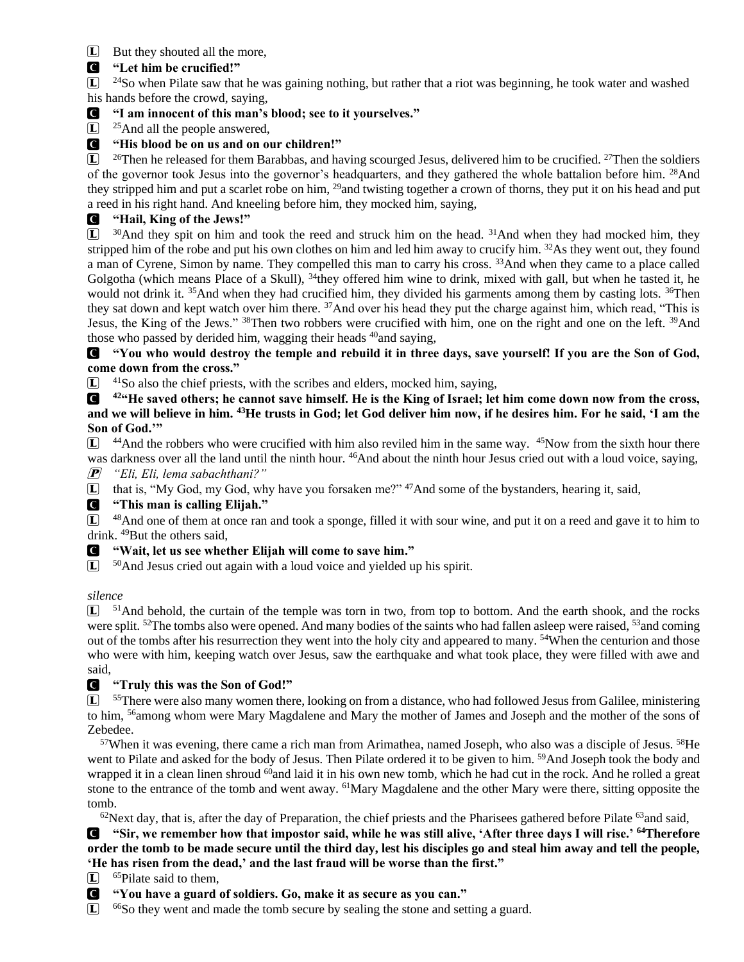L But they shouted all the more,

## C **"Let him be crucified!"**

 $\Box$  <sup>24</sup>So when Pilate saw that he was gaining nothing, but rather that a riot was beginning, he took water and washed his hands before the crowd, saying,

## C **"I am innocent of this man's blood; see to it yourselves."**

 $\Box$  <sup>25</sup>And all the people answered,

## C **"His blood be on us and on our children!"**

 $\Box$  <sup>26</sup>Then he released for them Barabbas, and having scourged Jesus, delivered him to be crucified. <sup>27</sup>Then the soldiers of the governor took Jesus into the governor's headquarters, and they gathered the whole battalion before him. <sup>28</sup>And they stripped him and put a scarlet robe on him, <sup>29</sup> and twisting together a crown of thorns, they put it on his head and put a reed in his right hand. And kneeling before him, they mocked him, saying,

## C **"Hail, King of the Jews!"**

 $\Box$  <sup>30</sup>And they spit on him and took the reed and struck him on the head. <sup>31</sup>And when they had mocked him, they stripped him of the robe and put his own clothes on him and led him away to crucify him. <sup>32</sup>As they went out, they found a man of Cyrene, Simon by name. They compelled this man to carry his cross. <sup>33</sup>And when they came to a place called Golgotha (which means Place of a Skull),  $34$ they offered him wine to drink, mixed with gall, but when he tasted it, he would not drink it. <sup>35</sup>And when they had crucified him, they divided his garments among them by casting lots. <sup>36</sup>Then they sat down and kept watch over him there. <sup>37</sup>And over his head they put the charge against him, which read, "This is Jesus, the King of the Jews." <sup>38</sup>Then two robbers were crucified with him, one on the right and one on the left. <sup>39</sup>And those who passed by derided him, wagging their heads <sup>40</sup>and saying,

C **"You who would destroy the temple and rebuild it in three days, save yourself! If you are the Son of God, come down from the cross."** 

 $\Box$  <sup>41</sup>So also the chief priests, with the scribes and elders, mocked him, saying,

C **<sup>42</sup>"He saved others; he cannot save himself. He is the King of Israel; let him come down now from the cross, and we will believe in him. <sup>43</sup>He trusts in God; let God deliver him now, if he desires him. For he said, 'I am the Son of God.'"** 

 $\Box$  <sup>44</sup>And the robbers who were crucified with him also reviled him in the same way. <sup>45</sup>Now from the sixth hour there was darkness over all the land until the ninth hour. <sup>46</sup>And about the ninth hour Jesus cried out with a loud voice, saying, P *"Eli, Eli, lema sabachthani?"* 

L that is, "My God, my God, why have you forsaken me?" <sup>47</sup>And some of the bystanders, hearing it, said,

## C **"This man is calling Elijah."**

 $\Box$  <sup>48</sup>And one of them at once ran and took a sponge, filled it with sour wine, and put it on a reed and gave it to him to drink. <sup>49</sup>But the others said,

## C **"Wait, let us see whether Elijah will come to save him."**

 $\Box$  <sup>50</sup>And Jesus cried out again with a loud voice and yielded up his spirit.

## *silence*

 $\bar{L}$  <sup>51</sup>And behold, the curtain of the temple was torn in two, from top to bottom. And the earth shook, and the rocks were split. <sup>52</sup>The tombs also were opened. And many bodies of the saints who had fallen asleep were raised, <sup>53</sup>and coming out of the tombs after his resurrection they went into the holy city and appeared to many. <sup>54</sup>When the centurion and those who were with him, keeping watch over Jesus, saw the earthquake and what took place, they were filled with awe and said,

## C **"Truly this was the Son of God!"**

L <sup>55</sup>There were also many women there, looking on from a distance, who had followed Jesus from Galilee, ministering to him, <sup>56</sup>among whom were Mary Magdalene and Mary the mother of James and Joseph and the mother of the sons of Zebedee.

 $57$ When it was evening, there came a rich man from Arimathea, named Joseph, who also was a disciple of Jesus.  $58$ He went to Pilate and asked for the body of Jesus. Then Pilate ordered it to be given to him. <sup>59</sup>And Joseph took the body and wrapped it in a clean linen shroud  $^{60}$  and laid it in his own new tomb, which he had cut in the rock. And he rolled a great stone to the entrance of the tomb and went away. <sup>61</sup>Mary Magdalene and the other Mary were there, sitting opposite the tomb.

 $62$ Next day, that is, after the day of Preparation, the chief priests and the Pharisees gathered before Pilate  $63$  and said,

C **"Sir, we remember how that impostor said, while he was still alive, 'After three days I will rise.' <sup>64</sup>Therefore order the tomb to be made secure until the third day, lest his disciples go and steal him away and tell the people, 'He has risen from the dead,' and the last fraud will be worse than the first."** 

 $\boxed{\mathbf{L}}$  65 Pilate said to them.

C **"You have a guard of soldiers. Go, make it as secure as you can."** 

L <sup>66</sup>So they went and made the tomb secure by sealing the stone and setting a guard.